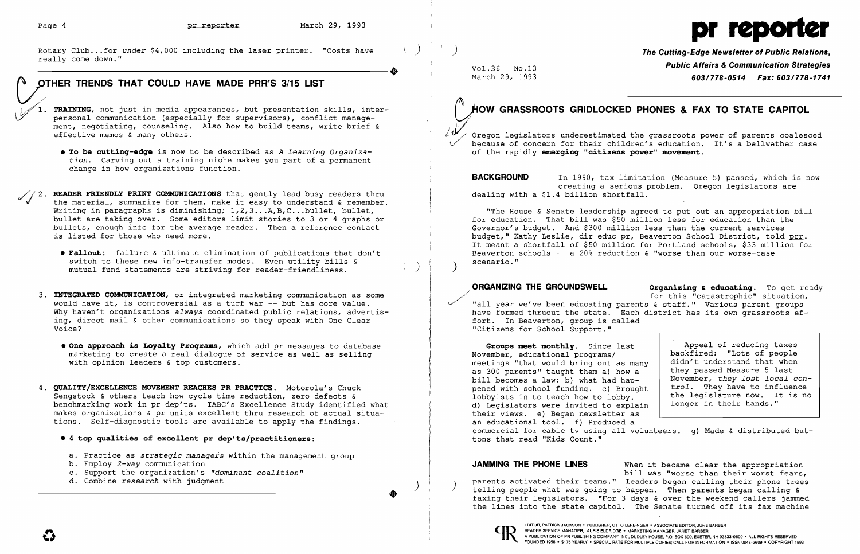

Rotary Club...for under \$4,000 including the laser printer. "Costs have **Communication Strategies**<br>
Public Affairs & Communication Strategies<br> **Public Affairs & Communication Strategies**<br> **Public Affairs & Communication St** 

Rotary Club...for *under* \$4,000 including the laser printer. "Costs have  $\left( \begin{array}{c} \end{array} \right)$  / **The Cutting-Edge Newsletter of Public Relations**, really come down."

**OTHER TRENDS THAT COULD HAVE MADE PRR'S 3/15 LIST Weither March 29, 1993 603/778-0514** *Fax:* **603/778-1741** / TRAINING, not just in media appearances, but presentation skills, inter-<br>personal communication (especially for supervisors), conflict management, negotiating, counseling. Also how to build teams, write brief & effective memos & many others. **• To be cutting-edge** is now to be described as *A Learning Organization.* Carving out a training niche makes you part of a permanent change in how organizations function. //2. READER FRIENDLY PRINT COMMUNICATIONS that gently lead busy readers thru the material, summarize for them, make it easy to understand & remember.<br>Writing in paragraphs is diminishing;  $1, 2, 3...$ A,B,C...bullet, bullet, bullet are taking over. Some editors limit stories to 3 or 4 graphs or bullets, enough info for the average reader. Then a reference contact bullets, enough info for the average reader. Then a reference contact Governor's budget. And \$300 million less than the current services<br>is listed for those who need more. **• Fallout:** failure & ultimate elimination of publications that don't Beaverton Beaverton switch to these new info-transfer modes. Even utility bills &  $\sim$  scenario." switch to these new info-transfer modes. Even utility bills  $\zeta$ mutual fund statements are striving for reader-friendliness.

- 3. **INTEGRATED COMMUNICATION,** or integrated marketing communication as some Why haven't organizations *always* coordinated public relations, advertis-<br>ing, direct mail & other communications so they speak with One Clear has its own fort. In Beaverton, group is called ing, direct mail & other communications so they speak with One Clear Voice?
	- **One approach is Loyalty Programs,** which add pr messages to database **Groups meet monthly**. Since last marketing to create a real dialogue of service as well as selling and a service the Movember, educational programs/ marketing to create a real dialogue of service as well as selling with opinion leaders  $\&$  top customers.
- 4. **QUALITY/EXCELLENCE MOVEMENT REACHES PR PRACTICE.** Motorola's Chuck pened with school funding. c) Brought Sengstock & others teach how cycle time reduction, zero defects & lobbyists in to teach how to lobby.<br>benchmarking work in pr dep'ts. IABC's Excellence Study identified what and all legislators were invited to expla benchmarking work in pr dep'ts. IABC's Excellence Study identified what d) Legislators were invited to explaint<br>makes organizations & pr units excellent thru research of actual situa-<br>discreence inviews. e) Began newslette makes organizations & pr units excellent thru research of actual situa-<br>tions. Self-diagnostic tools are available to apply the findings. <br>an educational tool. f) Produced a tions. Self-diagnostic tools are available to apply the findings.
	- **4 top qualities of excellent pr dep'ts/practitioners:**
	- a. Practice as *strategic managers* within the management group b. Employ 2-way communication
	-
	- c. Support the organization's *"dominant coalition"* d. Combine research with judgment
	-

# HOW GRASSROOTS GRIDLOCKED PHONES & FAX TO STATE CAPITOL

Oregon legislators underestimated the grassroots power of parents coalesced because of concern for their children's education. It's a bellwether case of the rapidly **emerging "citizens power" movement**.

**BACKGROUND** In 1990, tax limitation (Measure 5) passed, which is now creating a serious problem. Oregon legislators are<br>dealing with a \$1.4 billion shortfall. Ξ

"The House & Senate leadership agreed to put out an appropriation bill<br>for education. That bill was \$50 million less for education than the budget," Kathy Leslie, dir educ pr, Beaverton School District, told prr. It meant a shortfall of \$50 million for Portland schools, \$33 million for Beaverton schools -- a 20% reduction & "worse than our worse-case

**ORGANIZING THE GROUNDSWELL Organizing & educating.** To get ready for this "catastrophic" situation,<br>"all year we've been educating parents & staff." Various parent groups would have it, is controversial as a turf war -- but has core value.<br>Why haven't organizations always coordinated public relations, advertis-<br>Why haven't organizations always coordinated public relations, advertis-<br>and the "Citizens for School Support."

> meetings "that would bring out as man as 300 parents" taught them a) how a bill becomes a law; b) what had hap-<br>pened with school funding. c) Brough backfired: "Lots of people didn't understand that when they passed Measure 5 last November, the *trol.*  legislature They *they*  have *lost*  now. to influence *local*  rruend<br>It is longer in their hands." commercial for cable tv using all volunteers. g) Made & distributed but-<br>tons that read "Kids Count."

**JAMMING THE PHONE LINES** When it became clear the appropriation bill was "worse than their worst fears, parents activated their teams." Leaders began calling their phone trees telling people what was going to happen. Then parents began calling & ---------------------+ telling people what was going to happen. Then parents began calling & faxing their legislators. "For 3 days & over the weekend callers jammed the lines into the state capitol. The Senate turned off its fax machine

FOUNDED 1958 · \$175 YEARLY · SPECIAL RATE FOR MULTIPLE COPIES; CALL FOR INFORMATION · ISSN 0048-2609 · COPYRIGHT 1993

|    | Appeal of reducing taxes       |  |
|----|--------------------------------|--|
|    | backfired: "Lots of people     |  |
| ny | didn't understand that when    |  |
|    | they passed Measure 5 last     |  |
|    | November, they lost local con- |  |
| ht | trol. They have to influence   |  |
|    | the legislature now. It is no  |  |
| in | longer in their hands."        |  |
|    |                                |  |
|    |                                |  |